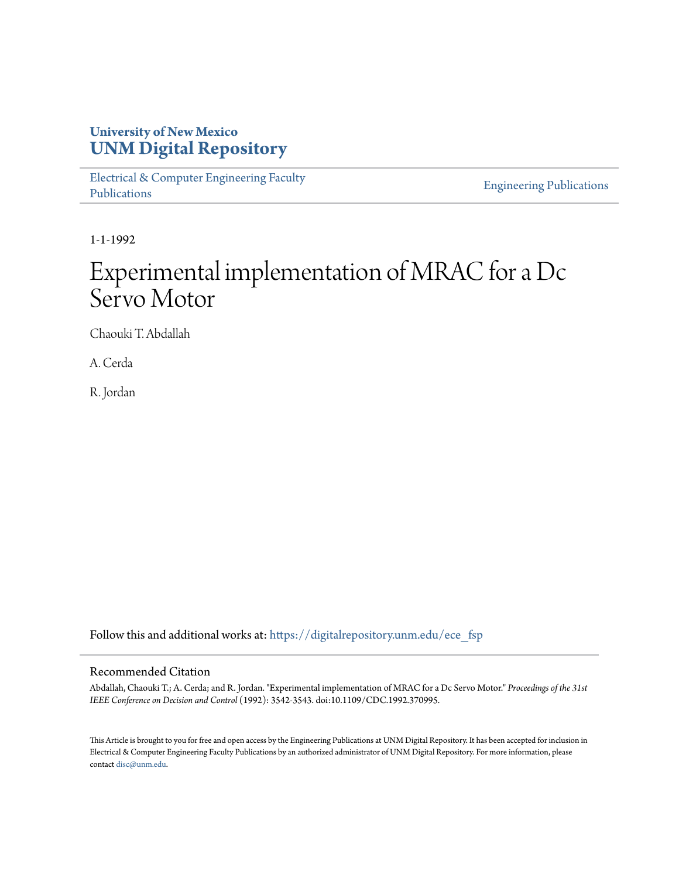# **University of New Mexico [UNM Digital Repository](https://digitalrepository.unm.edu?utm_source=digitalrepository.unm.edu%2Fece_fsp%2F73&utm_medium=PDF&utm_campaign=PDFCoverPages)**

[Electrical & Computer Engineering Faculty](https://digitalrepository.unm.edu/ece_fsp?utm_source=digitalrepository.unm.edu%2Fece_fsp%2F73&utm_medium=PDF&utm_campaign=PDFCoverPages) [Publications](https://digitalrepository.unm.edu/ece_fsp?utm_source=digitalrepository.unm.edu%2Fece_fsp%2F73&utm_medium=PDF&utm_campaign=PDFCoverPages)

[Engineering Publications](https://digitalrepository.unm.edu/eng_fsp?utm_source=digitalrepository.unm.edu%2Fece_fsp%2F73&utm_medium=PDF&utm_campaign=PDFCoverPages)

1-1-1992

# Experimental implementation of MRAC for a Dc Servo Motor

Chaouki T. Abdallah

A. Cerda

R. Jordan

Follow this and additional works at: [https://digitalrepository.unm.edu/ece\\_fsp](https://digitalrepository.unm.edu/ece_fsp?utm_source=digitalrepository.unm.edu%2Fece_fsp%2F73&utm_medium=PDF&utm_campaign=PDFCoverPages)

### Recommended Citation

Abdallah, Chaouki T.; A. Cerda; and R. Jordan. "Experimental implementation of MRAC for a Dc Servo Motor." *Proceedings of the 31st IEEE Conference on Decision and Control* (1992): 3542-3543. doi:10.1109/CDC.1992.370995.

This Article is brought to you for free and open access by the Engineering Publications at UNM Digital Repository. It has been accepted for inclusion in Electrical & Computer Engineering Faculty Publications by an authorized administrator of UNM Digital Repository. For more information, please contact [disc@unm.edu.](mailto:disc@unm.edu)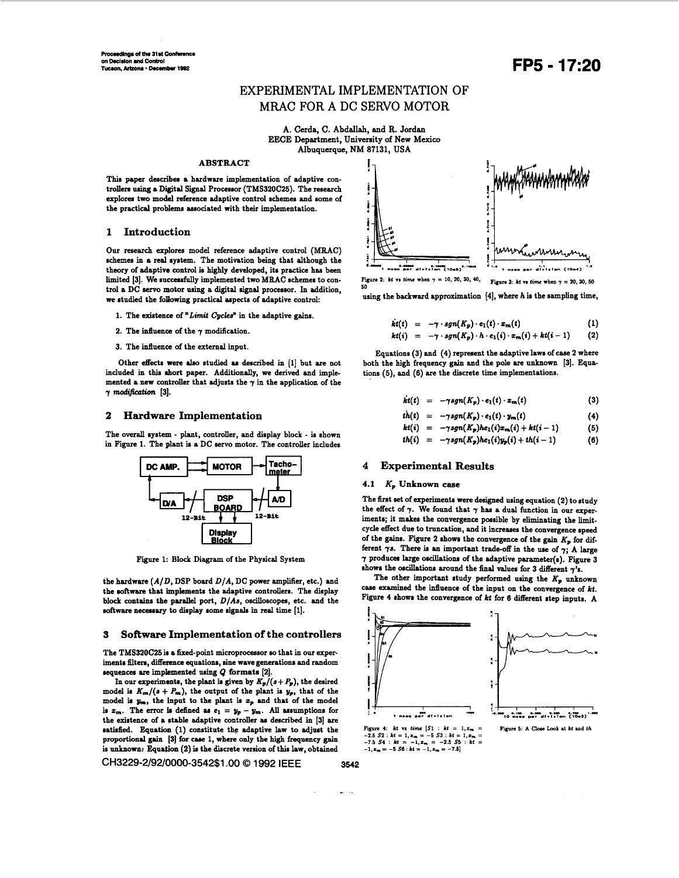## EXPERIMENTAL IMPLEMENTATION OF MRAC FOR **A** DC SERVO MOTOR

A. Cerda, C. Abdallah, and R. Jordan EECE Department, University of New Mexico Albuquerque, NM **87131, USA** 

#### **ABSTRACT**

This paper describes a hardware implementation of adaptive controllers using a Digital Signal Processor (TMS320C25). The research explores two model reference adaptive control schemes and some of the practical problems associated with their implementation.

#### **1 Introduction**

Our research explores model reference adaptive control (MRAC) schemes in **a** real system. The motivation being that although the theory of adaptive control is highly developed, its practice has been limited [3]. We successfully implemented two MRAC schemes to control **a** DC servo motor using **a** digital signal processor. In addition, we studied the following practical aspects of adaptive control:

- 1. The existence of "Limit *Cycles*" in the adaptive gains.
- 2. The influence of the  $\gamma$  modification.
- 3. The influence of the external input.

Other **effeds were ala0** studied **as** described in **[l]** but are not included in this short paper. Additionally, we derived and implemented a new controller that adjusts the  $\gamma$  in the application of the *γ modification* [3].

#### **2 Hardware Implementation**

The overall system - plant, controller, and display block - is shown in Figure 1. The plant is a DC servo motor. The controller includes



Figure 1: Block Diagram of the Physical System

the hardware  $(A/D,$  DSP board  $D/A$ , DC power amplifier, etc.) and the **&ware** that implements the adaptive controllers. The display block **contains** the parallel port, *DIAs,* oscilloscopes, etc. and the software necessary to display some signals in real time [1].

#### **3 Software Implementation of the controllers**

The TMS320C25 is **a** fixed-point microprocessor **so** that in **our** experiments filters, difference equations, sine wave generations and random sequences are implemented using  $Q$  formats [2].

In our experiments, the plant is given by  $K_p/(s + P_p)$ , the desired model is  $K_m/(s + P_m)$ , the output of the plant is  $y_p$ , that of the model **ia yn,** the input **to** the plant **ir zp** and that of the model is  $x_m$ . The error is defined as  $e_1 = y_p - y_m$ . All assumptions for the existence of **a** stable adaptive controllez **as** described in **[3] are**  satisfied. Equation (1) constitute the adaptive law to adjust the proportional gain **[3] for** case 1, where only the **high** frequency gain is unknown: Equation (2) is the discrete version of this law, obtained

**CH3229-2/92/0000-3542\$1 .OO** *0* **1992 IEEE 3542** 



Figure 3:  $kt$  vs time when  $\gamma = 20, 30, 50$ 

using the backward approximation [4], where h is the sampling time,

$$
\dot{kt}(t) = -\gamma \cdot sgn(K_p) \cdot e_1(t) \cdot x_m(t) \qquad (1)
$$

$$
kt(i) = -\gamma \cdot sgn(K_p) \cdot b \cdot e_1(i) \cdot x_m(i) + kt(i-1) \qquad (2)
$$

Equations (3) and **(4)** represent the adaptive laws **of** case 2 where both the high frequency gain and the pole **are** unknown [3]. Equations **(5),** and **(6)** *are* the discrete time implementations.

$$
kt(t) = -\gamma sgn(K_p) \cdot e_1(t) \cdot x_m(t) \qquad (3)
$$

$$
th(t) = -\gamma sgn(K_p) \cdot e_1(t) \cdot y_m(t) \qquad (4)
$$

$$
kt(i) = -\gamma sgn(K_p)he_1(i)x_m(i) + kt(i-1) \qquad (5)
$$

$$
th(i) = -\gamma sgn(K_p)he_1(i)y_p(i) + th(i-1) \qquad (6)
$$

#### **4 Experimental Results**

#### **4.1 Kp Unknown case**

The first set of experiments were designed using equation (2) to study the effect of  $\gamma$ . We found that  $\gamma$  has a dual function in our experiments; it makes the convergence possible by eliminating the limitcycle effect due to truncation, and it increases the convergence speed of the gains. Figure 2 shows the convergence of the gain  $K_p$  for different **7s.** There is an important trade-off in the **we of** *7;* A large  $\gamma$  produces large oscillations of the adaptive parameter(s). Figure 3 shows the oscillations around the final values for 3 different  $\gamma$ 's.

The other important study performed using the  $K_p$  unknown case examined the influence of the input on the convergence of kt. Figure 4 shows the convergence of *kt* for 6 different step inputs. A





بالمستعف